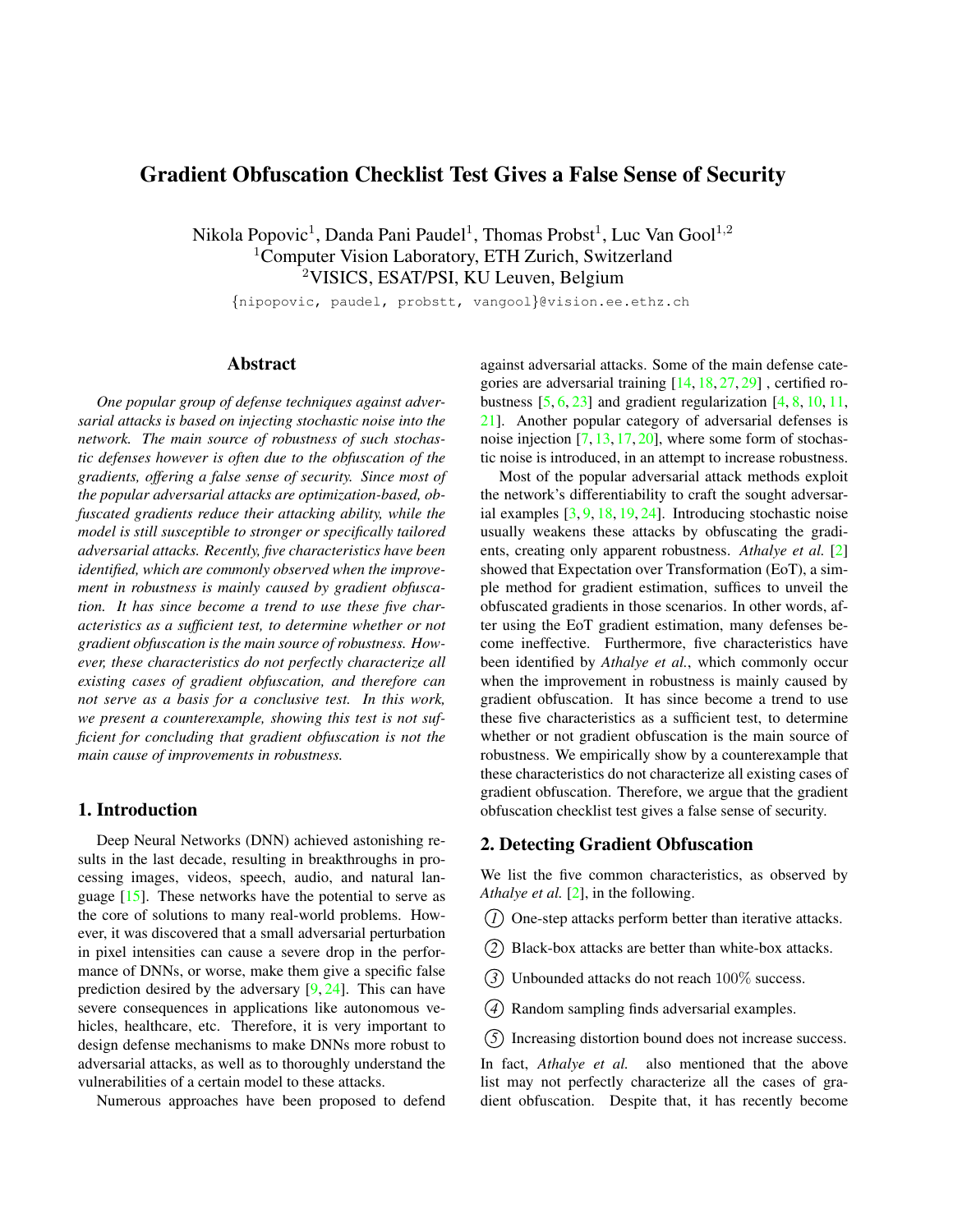# <span id="page-0-0"></span>Gradient Obfuscation Checklist Test Gives a False Sense of Security

Nikola Popovic<sup>1</sup>, Danda Pani Paudel<sup>1</sup>, Thomas Probst<sup>1</sup>, Luc Van Gool<sup>1,2</sup> <sup>1</sup>Computer Vision Laboratory, ETH Zurich, Switzerland <sup>2</sup>VISICS, ESAT/PSI, KU Leuven, Belgium

{nipopovic, paudel, probstt, vangool}@vision.ee.ethz.ch

# Abstract

*One popular group of defense techniques against adversarial attacks is based on injecting stochastic noise into the network. The main source of robustness of such stochastic defenses however is often due to the obfuscation of the gradients, offering a false sense of security. Since most of the popular adversarial attacks are optimization-based, obfuscated gradients reduce their attacking ability, while the model is still susceptible to stronger or specifically tailored adversarial attacks. Recently, five characteristics have been identified, which are commonly observed when the improvement in robustness is mainly caused by gradient obfuscation. It has since become a trend to use these five characteristics as a sufficient test, to determine whether or not gradient obfuscation is the main source of robustness. However, these characteristics do not perfectly characterize all existing cases of gradient obfuscation, and therefore can not serve as a basis for a conclusive test. In this work, we present a counterexample, showing this test is not sufficient for concluding that gradient obfuscation is not the main cause of improvements in robustness.*

# 1. Introduction

Deep Neural Networks (DNN) achieved astonishing results in the last decade, resulting in breakthroughs in processing images, videos, speech, audio, and natural language  $[15]$ . These networks have the potential to serve as the core of solutions to many real-world problems. However, it was discovered that a small adversarial perturbation in pixel intensities can cause a severe drop in the performance of DNNs, or worse, make them give a specific false prediction desired by the adversary [\[9,](#page-3-1) [24\]](#page-3-2). This can have severe consequences in applications like autonomous vehicles, healthcare, etc. Therefore, it is very important to design defense mechanisms to make DNNs more robust to adversarial attacks, as well as to thoroughly understand the vulnerabilities of a certain model to these attacks.

Numerous approaches have been proposed to defend

against adversarial attacks. Some of the main defense categories are adversarial training [\[14,](#page-3-3) [18,](#page-3-4) [27,](#page-3-5) [29\]](#page-3-6) , certified robustness  $[5, 6, 23]$  $[5, 6, 23]$  $[5, 6, 23]$  $[5, 6, 23]$  $[5, 6, 23]$  and gradient regularization  $[4, 8, 10, 11]$  $[4, 8, 10, 11]$  $[4, 8, 10, 11]$  $[4, 8, 10, 11]$  $[4, 8, 10, 11]$  $[4, 8, 10, 11]$ , [21\]](#page-3-14). Another popular category of adversarial defenses is noise injection [\[7,](#page-3-15) [13,](#page-3-16) [17,](#page-3-17) [20\]](#page-3-18), where some form of stochastic noise is introduced, in an attempt to increase robustness.

Most of the popular adversarial attack methods exploit the network's differentiability to craft the sought adversarial examples [\[3,](#page-3-19) [9,](#page-3-1) [18,](#page-3-4) [19,](#page-3-20) [24\]](#page-3-2). Introducing stochastic noise usually weakens these attacks by obfuscating the gradients, creating only apparent robustness. *Athalye et al.* [\[2\]](#page-3-21) showed that Expectation over Transformation (EoT), a simple method for gradient estimation, suffices to unveil the obfuscated gradients in those scenarios. In other words, after using the EoT gradient estimation, many defenses become ineffective. Furthermore, five characteristics have been identified by *Athalye et al.*, which commonly occur when the improvement in robustness is mainly caused by gradient obfuscation. It has since become a trend to use these five characteristics as a sufficient test, to determine whether or not gradient obfuscation is the main source of robustness. We empirically show by a counterexample that these characteristics do not characterize all existing cases of gradient obfuscation. Therefore, we argue that the gradient obfuscation checklist test gives a false sense of security.

# 2. Detecting Gradient Obfuscation

We list the five common characteristics, as observed by *Athalye et al.* [\[2\]](#page-3-21), in the following.

- *1* One-step attacks perform better than iterative attacks.
- *2* Black-box attacks are better than white-box attacks.
- *3* Unbounded attacks do not reach 100% success.
- *4* Random sampling finds adversarial examples.
- *5* Increasing distortion bound does not increase success.

In fact, *Athalye et al.* also mentioned that the above list may not perfectly characterize all the cases of gradient obfuscation. Despite that, it has recently become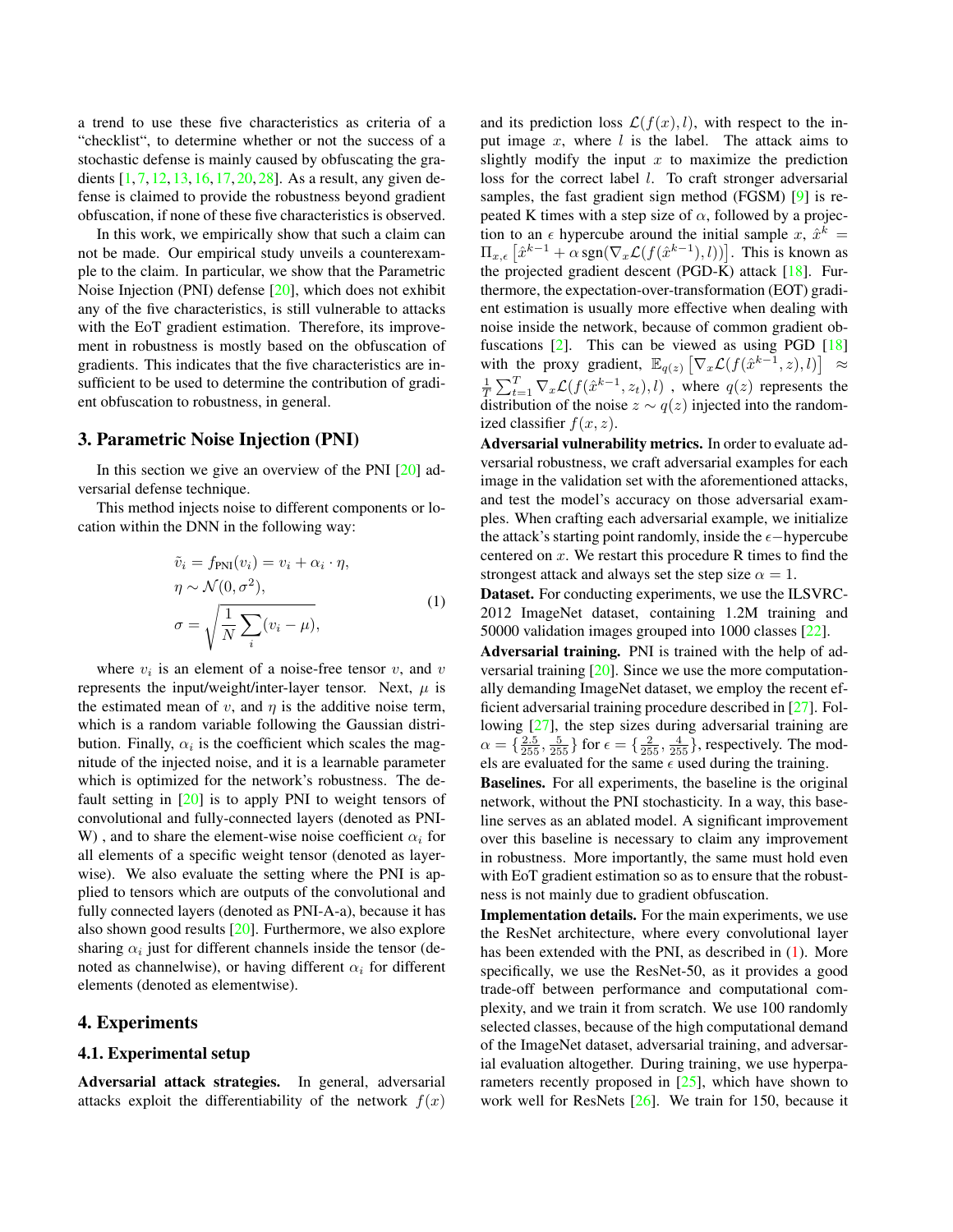<span id="page-1-1"></span>a trend to use these five characteristics as criteria of a "checklist", to determine whether or not the success of a stochastic defense is mainly caused by obfuscating the gradients [\[1,](#page-3-22) [7,](#page-3-15) [12,](#page-3-23) [13,](#page-3-16) [16,](#page-3-24) [17,](#page-3-17) [20,](#page-3-18) [28\]](#page-3-25). As a result, any given defense is claimed to provide the robustness beyond gradient obfuscation, if none of these five characteristics is observed.

In this work, we empirically show that such a claim can not be made. Our empirical study unveils a counterexample to the claim. In particular, we show that the Parametric Noise Injection (PNI) defense [\[20\]](#page-3-18), which does not exhibit any of the five characteristics, is still vulnerable to attacks with the EoT gradient estimation. Therefore, its improvement in robustness is mostly based on the obfuscation of gradients. This indicates that the five characteristics are insufficient to be used to determine the contribution of gradient obfuscation to robustness, in general.

# 3. Parametric Noise Injection (PNI)

In this section we give an overview of the PNI [\[20\]](#page-3-18) adversarial defense technique.

<span id="page-1-0"></span>This method injects noise to different components or location within the DNN in the following way:

$$
\tilde{v}_i = f_{\text{PNI}}(v_i) = v_i + \alpha_i \cdot \eta,
$$
  
\n
$$
\eta \sim \mathcal{N}(0, \sigma^2),
$$
  
\n
$$
\sigma = \sqrt{\frac{1}{N} \sum_i (v_i - \mu)},
$$
\n(1)

where  $v_i$  is an element of a noise-free tensor  $v$ , and  $v$ represents the input/weight/inter-layer tensor. Next,  $\mu$  is the estimated mean of  $v$ , and  $\eta$  is the additive noise term, which is a random variable following the Gaussian distribution. Finally,  $\alpha_i$  is the coefficient which scales the magnitude of the injected noise, and it is a learnable parameter which is optimized for the network's robustness. The default setting in [\[20\]](#page-3-18) is to apply PNI to weight tensors of convolutional and fully-connected layers (denoted as PNI-W), and to share the element-wise noise coefficient  $\alpha_i$  for all elements of a specific weight tensor (denoted as layerwise). We also evaluate the setting where the PNI is applied to tensors which are outputs of the convolutional and fully connected layers (denoted as PNI-A-a), because it has also shown good results [\[20\]](#page-3-18). Furthermore, we also explore sharing  $\alpha_i$  just for different channels inside the tensor (denoted as channelwise), or having different  $\alpha_i$  for different elements (denoted as elementwise).

## 4. Experiments

#### 4.1. Experimental setup

Adversarial attack strategies. In general, adversarial attacks exploit the differentiability of the network  $f(x)$ 

and its prediction loss  $\mathcal{L}(f(x), l)$ , with respect to the input image  $x$ , where  $l$  is the label. The attack aims to slightly modify the input  $x$  to maximize the prediction loss for the correct label *l*. To craft stronger adversarial samples, the fast gradient sign method (FGSM) [\[9\]](#page-3-1) is repeated K times with a step size of  $\alpha$ , followed by a projection to an  $\epsilon$  hypercube around the initial sample x,  $\hat{x}^k$  =  $\Pi_{x,\epsilon} \left[ \hat{x}^{k-1} + \alpha \operatorname{sgn}(\nabla_x \mathcal{L}(f(\hat{x}^{k-1}), l)) \right]$ . This is known as the projected gradient descent (PGD-K) attack [\[18\]](#page-3-4). Furthermore, the expectation-over-transformation (EOT) gradient estimation is usually more effective when dealing with noise inside the network, because of common gradient obfuscations  $[2]$ . This can be viewed as using PGD  $[18]$ with the proxy gradient,  $\mathbb{E}_{q(z)} \left[ \nabla_x \mathcal{L}(f(\hat{x}^{k-1}, z), l) \right] \approx$  $\frac{1}{T} \sum_{t=1}^{T} \nabla_x \mathcal{L}(f(\hat{x}^{k-1}, z_t), l)$ , where  $q(z)$  represents the distribution of the noise  $z \sim q(z)$  injected into the randomized classifier  $f(x, z)$ .

Adversarial vulnerability metrics. In order to evaluate adversarial robustness, we craft adversarial examples for each image in the validation set with the aforementioned attacks, and test the model's accuracy on those adversarial examples. When crafting each adversarial example, we initialize the attack's starting point randomly, inside the  $\epsilon$ −hypercube centered on  $x$ . We restart this procedure R times to find the strongest attack and always set the step size  $\alpha = 1$ .

Dataset. For conducting experiments, we use the ILSVRC-2012 ImageNet dataset, containing 1.2M training and 50000 validation images grouped into 1000 classes [\[22\]](#page-3-26).

Adversarial training. PNI is trained with the help of adversarial training [\[20\]](#page-3-18). Since we use the more computationally demanding ImageNet dataset, we employ the recent efficient adversarial training procedure described in [\[27\]](#page-3-5). Following [\[27\]](#page-3-5), the step sizes during adversarial training are  $\alpha = \{\frac{2.5}{255}, \frac{5}{255}\}\$  for  $\epsilon = \{\frac{2}{255}, \frac{4}{255}\}\$ , respectively. The models are evaluated for the same  $\epsilon$  used during the training.

Baselines. For all experiments, the baseline is the original network, without the PNI stochasticity. In a way, this baseline serves as an ablated model. A significant improvement over this baseline is necessary to claim any improvement in robustness. More importantly, the same must hold even with EoT gradient estimation so as to ensure that the robustness is not mainly due to gradient obfuscation.

Implementation details. For the main experiments, we use the ResNet architecture, where every convolutional layer has been extended with the PNI, as described in [\(1\)](#page-1-0). More specifically, we use the ResNet-50, as it provides a good trade-off between performance and computational complexity, and we train it from scratch. We use 100 randomly selected classes, because of the high computational demand of the ImageNet dataset, adversarial training, and adversarial evaluation altogether. During training, we use hyperparameters recently proposed in [\[25\]](#page-3-27), which have shown to work well for ResNets [\[26\]](#page-3-28). We train for 150, because it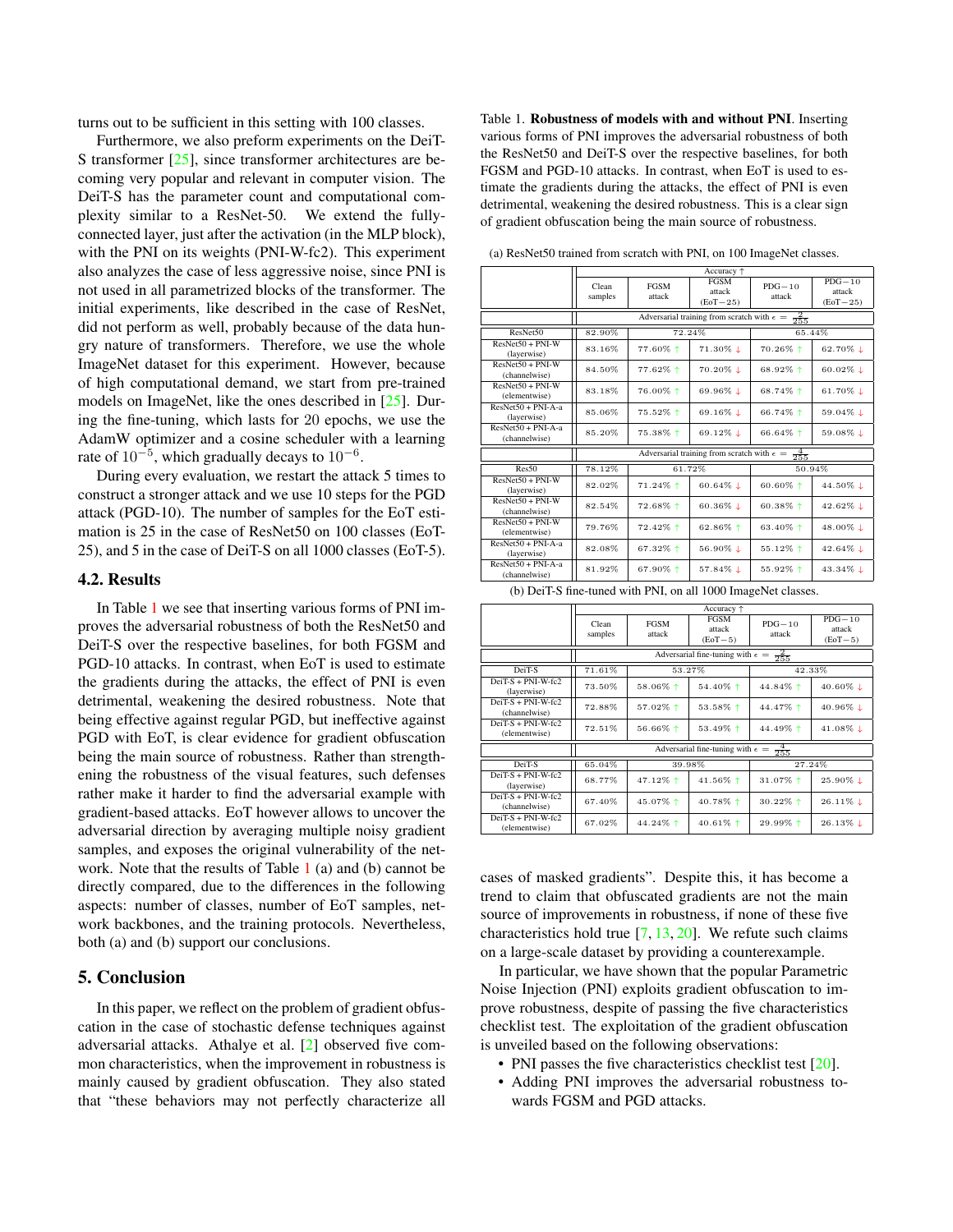<span id="page-2-1"></span>turns out to be sufficient in this setting with 100 classes.

Furthermore, we also preform experiments on the DeiT-S transformer [\[25\]](#page-3-27), since transformer architectures are becoming very popular and relevant in computer vision. The DeiT-S has the parameter count and computational complexity similar to a ResNet-50. We extend the fullyconnected layer, just after the activation (in the MLP block), with the PNI on its weights (PNI-W-fc2). This experiment also analyzes the case of less aggressive noise, since PNI is not used in all parametrized blocks of the transformer. The initial experiments, like described in the case of ResNet, did not perform as well, probably because of the data hungry nature of transformers. Therefore, we use the whole ImageNet dataset for this experiment. However, because of high computational demand, we start from pre-trained models on ImageNet, like the ones described in [\[25\]](#page-3-27). During the fine-tuning, which lasts for 20 epochs, we use the AdamW optimizer and a cosine scheduler with a learning rate of  $10^{-5}$ , which gradually decays to  $10^{-6}$ .

During every evaluation, we restart the attack 5 times to construct a stronger attack and we use 10 steps for the PGD attack (PGD-10). The number of samples for the EoT estimation is 25 in the case of ResNet50 on 100 classes (EoT-25), and 5 in the case of DeiT-S on all 1000 classes (EoT-5).

#### 4.2. Results

In Table [1](#page-2-0) we see that inserting various forms of PNI improves the adversarial robustness of both the ResNet50 and DeiT-S over the respective baselines, for both FGSM and PGD-10 attacks. In contrast, when EoT is used to estimate the gradients during the attacks, the effect of PNI is even detrimental, weakening the desired robustness. Note that being effective against regular PGD, but ineffective against PGD with EoT, is clear evidence for gradient obfuscation being the main source of robustness. Rather than strengthening the robustness of the visual features, such defenses rather make it harder to find the adversarial example with gradient-based attacks. EoT however allows to uncover the adversarial direction by averaging multiple noisy gradient samples, and exposes the original vulnerability of the network. Note that the results of Table [1](#page-2-0) (a) and (b) cannot be directly compared, due to the differences in the following aspects: number of classes, number of EoT samples, network backbones, and the training protocols. Nevertheless, both (a) and (b) support our conclusions.

# 5. Conclusion

In this paper, we reflect on the problem of gradient obfuscation in the case of stochastic defense techniques against adversarial attacks. Athalye et al. [\[2\]](#page-3-21) observed five common characteristics, when the improvement in robustness is mainly caused by gradient obfuscation. They also stated that "these behaviors may not perfectly characterize all <span id="page-2-0"></span>Table 1. Robustness of models with and without PNI. Inserting various forms of PNI improves the adversarial robustness of both the ResNet50 and DeiT-S over the respective baselines, for both FGSM and PGD-10 attacks. In contrast, when EoT is used to estimate the gradients during the attacks, the effect of PNI is even detrimental, weakening the desired robustness. This is a clear sign of gradient obfuscation being the main source of robustness.

(a) ResNet50 trained from scratch with PNI, on 100 ImageNet classes.

|                                       | Accuracy $\uparrow$                                                    |                       |                                     |                    |                                  |  |  |
|---------------------------------------|------------------------------------------------------------------------|-----------------------|-------------------------------------|--------------------|----------------------------------|--|--|
|                                       | Clean<br>samples                                                       | <b>FGSM</b><br>attack | <b>FGSM</b><br>attack<br>$(EqT-25)$ | $PDG-10$<br>attack | $PDG-10$<br>attack<br>$(EqT-25)$ |  |  |
|                                       | Adversarial training from scratch with $\epsilon =$<br>$\frac{2}{255}$ |                       |                                     |                    |                                  |  |  |
| ResNet50                              | 82.90%                                                                 | 72.24%                |                                     | 65.44%             |                                  |  |  |
| $ResNet50 + PNI-W$<br>(layerwise)     | 83.16%                                                                 | 77.60% 1              | 71.30%↓                             | 70.26% ↑           | 62.70% L                         |  |  |
| $ResNet50 + PNI-W$<br>(channelwise)   | 84.50%                                                                 | 77.62% 1              | 70.20%↓                             | 68.92% 1           | 60.02%↓                          |  |  |
| $ResNet50 + PNI-W$<br>(elementwise)   | 83.18%                                                                 | 76.00% 1              | $69.96\%$ $\perp$                   | 68.74% 1           | 61.70% ↓                         |  |  |
| $ResNet50 + PNI-A-a$<br>(laverwise)   | 85.06%                                                                 | 75.52% 1              | 69.16%↓                             | 66.74% 1           | 59.04%↓                          |  |  |
| $ResNet50 + PNI-A-a$<br>(channelwise) | 85.20%                                                                 | 75.38% ↑              | 69.12%↓                             | 66.64% ↑           | 59.08%↓                          |  |  |
|                                       | Adversarial training from scratch with $\epsilon =$<br>$\frac{4}{255}$ |                       |                                     |                    |                                  |  |  |
| Res50                                 | 78.12%                                                                 | 61.72%                |                                     | 50.94%             |                                  |  |  |
| $ResNet50 + PNI-W$<br>(layerwise)     | 82.02%                                                                 | 71.24% 1              | 60.64 $%$ $\downarrow$              | 60.60% ↑           | 44.50%↓                          |  |  |
| $ResNet50 + PNI-W$<br>(channelwise)   | 82.54%                                                                 | 72.68% 1              | 60.36% L                            | 60.38% $\uparrow$  | 42.62% L                         |  |  |
| $ResNet50 + PNI-W$<br>(elementwise)   | 79.76%                                                                 | 72.42% 1              | 62.86% 1                            | 63.40% ↑           | 48.00%↓                          |  |  |
| $ResNet50 + PNI-A-a$<br>(layerwise)   | 82.08%                                                                 | 67.32% 1              | 56.90% L                            | 55.12% 1           | 42.64% L                         |  |  |
| $ResNet50 + PNI-A-a$<br>(channelwise) | 81.92%                                                                 | 67.90% 1              | 57.84% ↓                            | 55.92% ↑           | 43.34%↓                          |  |  |
|                                       |                                                                        |                       |                                     |                    |                                  |  |  |

(b) DeiT-S fine-tuned with PNI, on all 1000 ImageNet classes.

|                                       | Accuracy $\uparrow$                                          |                       |                                    |                    |                                                |  |  |  |
|---------------------------------------|--------------------------------------------------------------|-----------------------|------------------------------------|--------------------|------------------------------------------------|--|--|--|
|                                       | Clean<br>samples                                             | <b>FGSM</b><br>attack | <b>FGSM</b><br>attack<br>$(EqT-5)$ | $PDG-10$<br>attack | $\overline{PDG} - 10$<br>attack<br>$(EqT - 5)$ |  |  |  |
|                                       | $\frac{2}{255}$<br>Adversarial fine-tuning with $\epsilon =$ |                       |                                    |                    |                                                |  |  |  |
| DeiT-S                                | 71.61%                                                       | 53.27%                |                                    | 42.33%             |                                                |  |  |  |
| $DeiT-S + PNI-W-fc2$<br>(layerwise)   | 73.50%                                                       | 58.06% ↑              | 54.40% ↑                           | 44.84% 1           | 40.60%↓                                        |  |  |  |
| $DeiT-S + PNI-W-fc2$<br>(channelwise) | 72.88%                                                       | 57.02% 1              | 53.58% ↑                           | 44.47% ↑           | 40.96%↓                                        |  |  |  |
| $DeiT-S + PNI-W-fc2$<br>(elementwise) | 72.51%                                                       | 56.66% ↑              | 53.49% $\uparrow$                  | 44.49% ↑           | 41.08%↓                                        |  |  |  |
|                                       | $\frac{4}{255}$<br>Adversarial fine-tuning with $\epsilon =$ |                       |                                    |                    |                                                |  |  |  |
| DeiT-S                                | 65.04%                                                       | 39.98%                |                                    | 27.24%             |                                                |  |  |  |
| $DeiT-S + PNI-W-fc2$<br>(layerwise)   | 68.77%                                                       | 47.12% 1              | 41.56% ↑                           | 31.07% 1           | 25.90%↓                                        |  |  |  |
| $DeiT-S + PNI-W-fc2$<br>(channelwise) | 67.40%                                                       | 45.07% ↑              | 40.78% 1                           | 30.22% ↑           | $26.11\%$ $\downarrow$                         |  |  |  |
| $DeiT-S + PNI-W-fc2$<br>(elementwise) | 67.02%                                                       | 44.24% 1              | 40.61% ↑                           | 29.99% ↑           | $26.13\%$ $\downarrow$                         |  |  |  |

cases of masked gradients". Despite this, it has become a trend to claim that obfuscated gradients are not the main source of improvements in robustness, if none of these five characteristics hold true  $[7, 13, 20]$  $[7, 13, 20]$  $[7, 13, 20]$  $[7, 13, 20]$  $[7, 13, 20]$ . We refute such claims on a large-scale dataset by providing a counterexample.

In particular, we have shown that the popular Parametric Noise Injection (PNI) exploits gradient obfuscation to improve robustness, despite of passing the five characteristics checklist test. The exploitation of the gradient obfuscation is unveiled based on the following observations:

- PNI passes the five characteristics checklist test [\[20\]](#page-3-18).
- Adding PNI improves the adversarial robustness towards FGSM and PGD attacks.